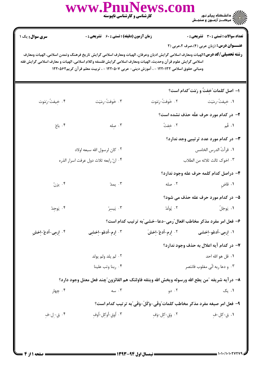|                                                                                                                                                                                                                                                                                                                                                                                                        | www.PnuNews.com<br>کارشناسی و کارشناسی ناپیوسته                                               |                  | عمر السلام دانشگاه پیام نور<br>استخدام ترک در آزادون و سنجــش                |  |  |  |
|--------------------------------------------------------------------------------------------------------------------------------------------------------------------------------------------------------------------------------------------------------------------------------------------------------------------------------------------------------------------------------------------------------|-----------------------------------------------------------------------------------------------|------------------|------------------------------------------------------------------------------|--|--|--|
| سری سوال: یک ۱                                                                                                                                                                                                                                                                                                                                                                                         | <b>زمان آزمون (دقیقه) : تستی : 60 ٪ تشریحی : 0</b>                                            |                  | <b>تعداد سوالات : تستي : 30 ٪ تشريحي : 0</b>                                 |  |  |  |
| <b>عنـــوان درس:</b> (زبان عربی (۴)،صرف ۲،عربی (۲<br><b>رشته تحصیلی/کد درس:</b> الهیات ومعارف اسلامی گرایش ادیان وعرفان، الهیات ومعارف اسلامی گرایش تاریخ فرهنگ وتمدن اسلامی، الهیات ومعارف<br>اسلامی گرایش علوم قرآن وحدیث، الهیات ومعارف اسلامی گرایش فلسفه وکلام اسلامی، الهیات و معارف اسلامی گرایش فقه<br>ومبانی حقوق اسلامی ۱۲۲۰۱۳۲ - ، آموزش دینی- عربی ۱۲۲۰۵۰۷ - ، تربیت معلم قرآن کریم۱۲۲۰۵۶۲ |                                                                                               |                  |                                                                              |  |  |  |
|                                                                                                                                                                                                                                                                                                                                                                                                        |                                                                                               |                  | ۱– اصل کلمات ؒخِفتُ و رَمَت ؒکدام است؟                                       |  |  |  |
| ۴. خِيفتُ-رَمَوت                                                                                                                                                                                                                                                                                                                                                                                       | ۴. خَوفتُ-رِمَيَت                                                                             |                  |                                                                              |  |  |  |
|                                                                                                                                                                                                                                                                                                                                                                                                        |                                                                                               |                  | <b>۲</b> - در کدام مورد حرف علّه حذف نشده است؟                               |  |  |  |
| ۰۴ باعَ                                                                                                                                                                                                                                                                                                                                                                                                | ۰۳ صله                                                                                        | ٢. خِفتُ         | $\mathbf{A}$ . قُم                                                           |  |  |  |
|                                                                                                                                                                                                                                                                                                                                                                                                        |                                                                                               |                  | ۰۳ در کدام مورد عدد ترتیبی وجد ندارد $\blacktriangleright$                   |  |  |  |
|                                                                                                                                                                                                                                                                                                                                                                                                        | ٠٢ كان لرسول الله سبعه اولاد                                                                  |                  | ٠١. قرأتُ الدرس الخامس                                                       |  |  |  |
|                                                                                                                                                                                                                                                                                                                                                                                                        | ۰۴ انّ رابعه ثلاث دول عرفت اسرار الذره                                                        |                  | ٠٣ اخوك ثالث ثلاثه من الطلاب                                                 |  |  |  |
|                                                                                                                                                                                                                                                                                                                                                                                                        |                                                                                               |                  | ۴– دراصل کدام کلمه حرف عله وجود ندارد؟                                       |  |  |  |
| $\cdot$ یزن $\cdot$                                                                                                                                                                                                                                                                                                                                                                                    | $\mathfrak{g}$ . يمدّ                                                                         | $\sim$ مله       | <b>۱.</b> قاضِ                                                               |  |  |  |
|                                                                                                                                                                                                                                                                                                                                                                                                        |                                                                                               |                  | ۵– در کدام مورد حرف عله حذف می شود؟                                          |  |  |  |
| ۰۴ يَوجِدُ                                                                                                                                                                                                                                                                                                                                                                                             | ۰۳ يَيسرُ                                                                                     | ۰۲ يُولَدُ       | ٠١. يَوجَلُ                                                                  |  |  |  |
|                                                                                                                                                                                                                                                                                                                                                                                                        |                                                                                               |                  | ۶– فعل امر مفرد مذکر مخاطب افعال ؒرمی-دعا-خشی ؒبه ترتیب کدام است؟            |  |  |  |
| ۰۴ إرمِي-أدعُ-إخشِ                                                                                                                                                                                                                                                                                                                                                                                     | ۰۳ إرم-اُدعُو-إخشِي                                                                           |                  | ١. ٳرمِی-اُدعُو-اِخشی سند ٢. اِرمِ-اُدعُ-اِخشَ                               |  |  |  |
|                                                                                                                                                                                                                                                                                                                                                                                                        |                                                                                               |                  | - در کدام آیه اعلال به حذف وجود ندارد $\blacktriangleright$                  |  |  |  |
|                                                                                                                                                                                                                                                                                                                                                                                                        | ۰۲ لم يلد ولم يولد                                                                            |                  | ٠١. قل هو الله احد                                                           |  |  |  |
|                                                                                                                                                                                                                                                                                                                                                                                                        | ۰۴ ربنا وتب علينا                                                                             |                  | ۰۳ و دعا ربه انّی مغلوب فانتصر                                               |  |  |  |
|                                                                                                                                                                                                                                                                                                                                                                                                        | ٨– درآيه شريفه ″من يطع الله ورسوله ويخش الله ويتقه فاولئك هم الفائزون″چند فعل معتل وجود دارد؟ |                  |                                                                              |  |  |  |
| ۰۴ چهار                                                                                                                                                                                                                                                                                                                                                                                                | ۰۳ سه                                                                                         | ۰۲ دو            | ۰۱ یک                                                                        |  |  |  |
|                                                                                                                                                                                                                                                                                                                                                                                                        |                                                                                               |                  | ٩- فعل امر صيغه مفرد مذكر مخاطب كلمات ّوقّى-وَكَلَ-وَفَى ّبه ترتيب كدام است؟ |  |  |  |
| ۰۴ ق-ل-في                                                                                                                                                                                                                                                                                                                                                                                              | ۰۳ أوق-أوكل-أوف                                                                               | ۰۲ وَقِ-كِل-وَفِ | ٠١ ق-كِل-فِ                                                                  |  |  |  |
|                                                                                                                                                                                                                                                                                                                                                                                                        |                                                                                               |                  |                                                                              |  |  |  |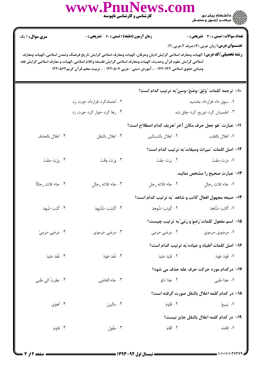|                                                                                                                                                                                                                                                                                                                                                                                                        | www.PnuNews.co                                     | <b>کارشناسی و کارشناسی ناپیوسته</b>                   |                                                         |  |  |  |
|--------------------------------------------------------------------------------------------------------------------------------------------------------------------------------------------------------------------------------------------------------------------------------------------------------------------------------------------------------------------------------------------------------|----------------------------------------------------|-------------------------------------------------------|---------------------------------------------------------|--|--|--|
| <b>سری سوال : ۱ یک</b>                                                                                                                                                                                                                                                                                                                                                                                 | <b>زمان آزمون (دقیقه) : تستی : 60 ٪ تشریحی : 0</b> |                                                       | <b>تعداد سوالات : تستی : 30 ٪ تشریحی : 0</b>            |  |  |  |
| <b>عنـــوان درس:</b> زبان عربی (۴)،صرف ۲،عربی (۲)<br><b>رشته تحصیلی/گد درس:</b> الهیات ومعارف اسلامی گرایش ادیان وعرفان، الهیات ومعارف اسلامی گرایش تاریخ فرهنگ وتمدن اسلامی، الهیات ومعارف<br>اسلامی گرایش علوم قرآن وحدیث، الهیات ومعارف اسلامی گرایش فلسفه وکلام اسلامی، الهیات و معارف اسلامی گرایش فقه<br>ومبانی حقوق اسلامی ۱۲۲۰۱۳۲ - ، آموزش دینی- عربی ۱۲۲۰۵۰۷ - ، تربیت معلم قرآن کریم۱۲۲۰۵۶۲ |                                                    |                                                       |                                                         |  |  |  |
|                                                                                                                                                                                                                                                                                                                                                                                                        |                                                    |                                                       | ∙ا– ترجمه كلمات ″وَثِقَ-وضَعَ-وسِنَ″به ترتيب كدام است؟  |  |  |  |
|                                                                                                                                                                                                                                                                                                                                                                                                        | ۰۲ اعتمادکرد-قرارداد-چرت زد                        |                                                       | ۰۱ سوق داد-قرارداد-بخشید                                |  |  |  |
|                                                                                                                                                                                                                                                                                                                                                                                                        | ۰۴ رها کرد-خوار کرد-چرت زد                         |                                                       | ۰۳ اطمینان کرد-توزیع کرد-چاق شد                         |  |  |  |
|                                                                                                                                                                                                                                                                                                                                                                                                        |                                                    | 11- عبارت "هو جعل حرف مكان آخر"تعريف كدام اصطلاح است؟ |                                                         |  |  |  |
| ۰۴ اعلال بالحذف                                                                                                                                                                                                                                                                                                                                                                                        | ٠٣ اعلال بالنقل                                    | ٠٢ اعلال بالتسكين                                     | ٠١ اعلال بالقلب                                         |  |  |  |
|                                                                                                                                                                                                                                                                                                                                                                                                        |                                                    |                                                       | ۱ <b>۲</b> – اصل کلمات "میراث ومیقات"به ترتیب کدام است؟ |  |  |  |
| ۴. وَرَثَ-مَقَتَ                                                                                                                                                                                                                                                                                                                                                                                       | ۴. وَرَثَ-وَقَتَ                                   | ٢. يَرَثَ-يَقَتَ                                      | ٠١ مَرَثَ-مَقَتَ                                        |  |  |  |
|                                                                                                                                                                                                                                                                                                                                                                                                        |                                                    |                                                       | ۱۳– عبارت صحیح را مشخص نمائید.                          |  |  |  |
| ۰۴ جاء ثلاث رجالاً                                                                                                                                                                                                                                                                                                                                                                                     | ٠٣ جاء ثلاثه رجال                                  | ٠٢ جاء ثلاثه رجل                                      | ٠١. جاء ثلاث رجالٍ                                      |  |  |  |
|                                                                                                                                                                                                                                                                                                                                                                                                        |                                                    |                                                       | ۱۴- صیغه مجهول افعال ّکاتب و شاهد آبه ترتیب کدام است؟   |  |  |  |
| ۰۴ كُتِبَ-شُهِدَ                                                                                                                                                                                                                                                                                                                                                                                       | ۰۳ كَايتِبَ-شَايهِدَ                               |                                                       | ١. كَاتِبَ-شَاهِدَ مستقدم من ٢. كُوتِبَ-شُوهِدَ         |  |  |  |
|                                                                                                                                                                                                                                                                                                                                                                                                        |                                                    |                                                       | ۱۵– اسم مفعول کلمات ؒرَضوَ و رَمَی ؒبه ترتیب چیست؟      |  |  |  |
| ۰۴ مَرضِي-مَرمِيِّ                                                                                                                                                                                                                                                                                                                                                                                     | ۰۳ مَرضى-مَرموى                                    | ۰۲ مَرضَى-مَرمَى                                      | ۰۱ مرضوی-مرموی                                          |  |  |  |
|                                                                                                                                                                                                                                                                                                                                                                                                        |                                                    |                                                       | ۱۶– اصل کلمات ؒانقیاد و عیاده ؒبه ترتیب کدام است؟       |  |  |  |
| ۴. نَقَدَ-عَيَدَ                                                                                                                                                                                                                                                                                                                                                                                       | ۰۳ نَقَدَ-عَوَدَ                                   | ٢. قَيَدَ-عَيَدَ                                      | 1. قَوَدَ-عَوَدَ                                        |  |  |  |
|                                                                                                                                                                                                                                                                                                                                                                                                        |                                                    |                                                       | 17- درکدام مورد حرکت حرف عله حذف می شود؟                |  |  |  |
| ۰۴ نظرتُ الى ظَبى                                                                                                                                                                                                                                                                                                                                                                                      | ۰۳ جاء القاضي                                      | ۰۲ هذا دَلو                                           | ۱. هذا ظَبی                                             |  |  |  |
|                                                                                                                                                                                                                                                                                                                                                                                                        |                                                    |                                                       | 1۸– در کدام کلمه اعلال بالنقل صورت گرفته است؟           |  |  |  |
| ۰۴ أهوَى                                                                                                                                                                                                                                                                                                                                                                                               | ۰۳ ماأبيَنَ                                        | ۰۲ قَاوَمَ                                            | ۰۱ يَبِيعُ                                              |  |  |  |
|                                                                                                                                                                                                                                                                                                                                                                                                        | 1۹− در کدام کلمه اعلال بالنقل جایز نیست؟           |                                                       |                                                         |  |  |  |
| ۰۴ قاوَمَ                                                                                                                                                                                                                                                                                                                                                                                              | ۰۳ مَقُول                                          | ۲. اَقامَ                                             | ۰۱ اقامَه                                               |  |  |  |
|                                                                                                                                                                                                                                                                                                                                                                                                        |                                                    |                                                       |                                                         |  |  |  |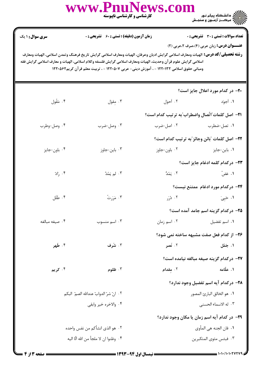|                                                                                                                                                                                                                                                                                                                                                                                                        | www.PnuNews.co<br>کارشناسی و کارشناسی ناپیوسته     |              | ے :<br>حکالات دانشگاہ پیام نور<br>حکالات مرکز آزمون و سنجش                                                                 |  |  |  |
|--------------------------------------------------------------------------------------------------------------------------------------------------------------------------------------------------------------------------------------------------------------------------------------------------------------------------------------------------------------------------------------------------------|----------------------------------------------------|--------------|----------------------------------------------------------------------------------------------------------------------------|--|--|--|
| <b>سری سوال : ۱ یک</b>                                                                                                                                                                                                                                                                                                                                                                                 | <b>زمان آزمون (دقیقه) : تستی : 60 ٪ تشریحی : 0</b> |              | تعداد سوالات : تستي : 30 ٪ تشريحي : 0                                                                                      |  |  |  |
| <b>عنـــوان درس:</b> زبان عربی (۴)،صرف ۲،عربی (۲)<br><b>رشته تحصیلی/کد درس:</b> الهیات ومعارف اسلامی گرایش ادیان وعرفان، الهیات ومعارف اسلامی گرایش تاریخ فرهنگ وتمدن اسلامی، الهیات ومعارف<br>اسلامی گرایش علوم قرآن وحدیث، الهیات ومعارف اسلامی گرایش فلسفه وکلام اسلامی، الهیات و معارف اسلامی گرایش فقه<br>ومبانی حقوق اسلامی ۱۲۲۰۱۳۲ - ، آموزش دینی- عربی ۱۲۲۰۵۰۷ - ، تربیت معلم قرآن کریم۱۲۲۰۵۶۲ |                                                    |              |                                                                                                                            |  |  |  |
|                                                                                                                                                                                                                                                                                                                                                                                                        |                                                    |              | <b>۲۰</b> در کدام مورد اعلال جایز است؟                                                                                     |  |  |  |
| ۰۴ مَقُول                                                                                                                                                                                                                                                                                                                                                                                              | ۰۳ مقول                                            | ۰۲ أحوّل     | ۰۱ أجوَّد                                                                                                                  |  |  |  |
|                                                                                                                                                                                                                                                                                                                                                                                                        |                                                    |              | اY−  اصل کلمات ؒاتّصال واضطراب ؒبه ترتیب کدام است؟                                                                         |  |  |  |
| ۰۴ وصل-وطرب                                                                                                                                                                                                                                                                                                                                                                                            | ۰۳ وصل-ضرب                                         | ۰۲ اصل-ضرب   | ۰۱ تصل-ضطرب                                                                                                                |  |  |  |
|                                                                                                                                                                                                                                                                                                                                                                                                        |                                                    |              | ٢٢- اصل كلمات "بائن وجائز"به ترتيب كدام است؟                                                                               |  |  |  |
| ۰۴ باون-جايز                                                                                                                                                                                                                                                                                                                                                                                           | ۰۳ باین-جاوز                                       | ۰۲ باون-جاوز | ۰۱ باین-جایز                                                                                                               |  |  |  |
|                                                                                                                                                                                                                                                                                                                                                                                                        |                                                    |              | ۲۳– درکدام کلمه ادغام جایز است؟                                                                                            |  |  |  |
| ۰۴ زادّ                                                                                                                                                                                                                                                                                                                                                                                                | ۰۳ لم يَمُدَّ                                      |              | ا عَض <sup>ّ</sup> مَنْ اللَّهُ عَضْ اللَّهُ عَضْ اللَّهُ عَضْ اللَّهُ عَضْ اللَّهُ عَلَيْهُ عَلَيْهُ مِنْ اللَّهَ اللَّهَ |  |  |  |
|                                                                                                                                                                                                                                                                                                                                                                                                        |                                                    |              | ۲۴- درکدام مورد ادغام ممتنع نیست؟                                                                                          |  |  |  |
| ۰۴ طَلَل                                                                                                                                                                                                                                                                                                                                                                                               | ۰۳ مَرَرتُ                                         |              | ا حَيِيَ مَسْرَرِ الْمُسْرِدِينَ مِنْ الْمُسْرِدِينَ مِنْ الْمُسْرِدِينَ مِنْ الْمُسْرِدِينَ مِنْ ا                        |  |  |  |
|                                                                                                                                                                                                                                                                                                                                                                                                        |                                                    |              | ۲۵– درکدام گزینه اسم جامد آمده است؟                                                                                        |  |  |  |
| ۰۴ صيغه مبالغه                                                                                                                                                                                                                                                                                                                                                                                         | ۰۳ اسم منسوب                                       | ۰۲ اسم زمان  | ۰۱ اسم تفضیل                                                                                                               |  |  |  |
|                                                                                                                                                                                                                                                                                                                                                                                                        |                                                    |              | ۲۶- از کدام فعل صفت مشبهه ساخته نمی شود؟                                                                                   |  |  |  |
| ۰۴ طَهر                                                                                                                                                                                                                                                                                                                                                                                                | ۰۳ شَرف                                            | ۰۲ نَصر      | ۰۱ جَمُل                                                                                                                   |  |  |  |
|                                                                                                                                                                                                                                                                                                                                                                                                        |                                                    |              | 77- دركدام گزينه صيغه مبالغه نيامده است؟                                                                                   |  |  |  |
| ۰۴ کريم                                                                                                                                                                                                                                                                                                                                                                                                | ۰۳ ظلوم                                            | ۰۲ مقدام     | ۰۱ علّامه                                                                                                                  |  |  |  |
|                                                                                                                                                                                                                                                                                                                                                                                                        |                                                    |              | ۲۸– درکدام آیه اسم تفضیل وجود ندارد؟                                                                                       |  |  |  |
|                                                                                                                                                                                                                                                                                                                                                                                                        | ٢ .   انّ شرّ الدوابّ عندالله الصمّ  البكم         |              | ٠١. هو الخالق البارئ المصور                                                                                                |  |  |  |
|                                                                                                                                                                                                                                                                                                                                                                                                        | ۰۴ والاخره خير وابقى                               |              | ٣. له الاسماء الحسنى                                                                                                       |  |  |  |
|                                                                                                                                                                                                                                                                                                                                                                                                        |                                                    |              | <b>۲۹</b> - در کدام آیه اسم زمان یا مکان وجود ندارد؟                                                                       |  |  |  |
| ٠٢ هو الذي انشأكم من نفس واحده                                                                                                                                                                                                                                                                                                                                                                         |                                                    |              | ٠١. فان الجنه هي المأوى                                                                                                    |  |  |  |
| ۰۴ وظنوا ان لا ملجأ من الله الّا اليه                                                                                                                                                                                                                                                                                                                                                                  |                                                    |              | ۰۳ فبئس مثوى المتكبرين                                                                                                     |  |  |  |